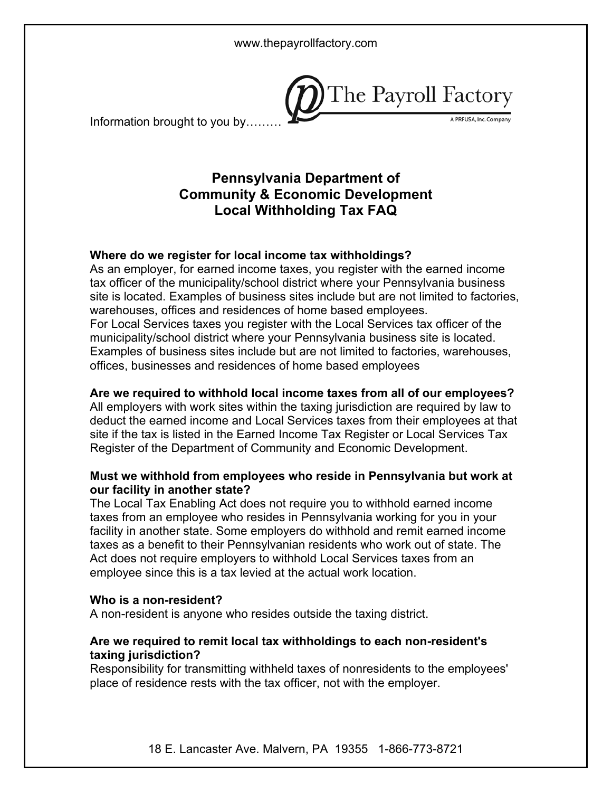

Information brought to you by………

# **Pennsylvania Department of Community & Economic Development Local Withholding Tax FAQ**

### **Where do we register for local income tax withholdings?**

As an employer, for earned income taxes, you register with the earned income tax officer of the municipality/school district where your Pennsylvania business site is located. Examples of business sites include but are not limited to factories, warehouses, offices and residences of home based employees. For Local Services taxes you register with the Local Services tax officer of the municipality/school district where your Pennsylvania business site is located. Examples of business sites include but are not limited to factories, warehouses, offices, businesses and residences of home based employees

#### **Are we required to withhold local income taxes from all of our employees?**

All employers with work sites within the taxing jurisdiction are required by law to deduct the earned income and Local Services taxes from their employees at that site if the tax is listed in the Earned Income Tax Register or Local Services Tax Register of the Department of Community and Economic Development.

#### **Must we withhold from employees who reside in Pennsylvania but work at our facility in another state?**

The Local Tax Enabling Act does not require you to withhold earned income taxes from an employee who resides in Pennsylvania working for you in your facility in another state. Some employers do withhold and remit earned income taxes as a benefit to their Pennsylvanian residents who work out of state. The Act does not require employers to withhold Local Services taxes from an employee since this is a tax levied at the actual work location.

#### **Who is a non-resident?**

A non-resident is anyone who resides outside the taxing district.

### **Are we required to remit local tax withholdings to each non-resident's taxing jurisdiction?**

Responsibility for transmitting withheld taxes of nonresidents to the employees' place of residence rests with the tax officer, not with the employer.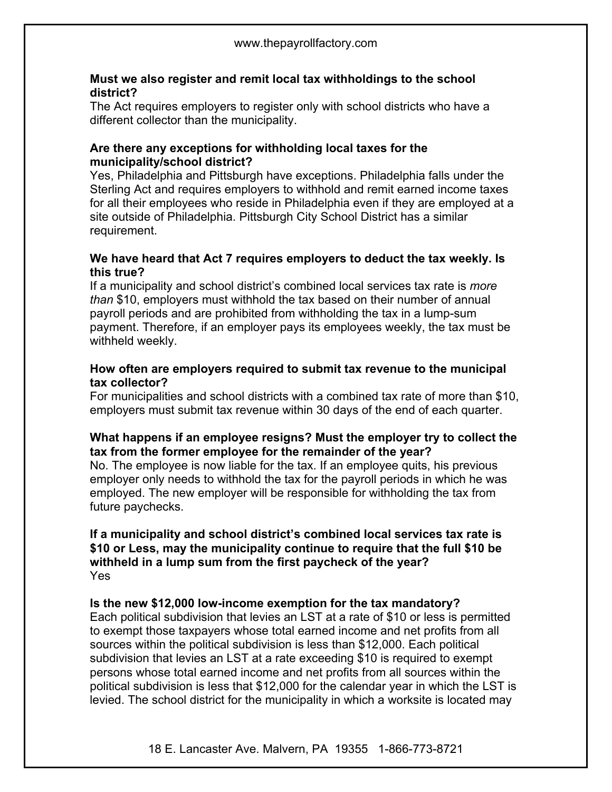### **Must we also register and remit local tax withholdings to the school district?**

The Act requires employers to register only with school districts who have a different collector than the municipality.

### **Are there any exceptions for withholding local taxes for the municipality/school district?**

Yes, Philadelphia and Pittsburgh have exceptions. Philadelphia falls under the Sterling Act and requires employers to withhold and remit earned income taxes for all their employees who reside in Philadelphia even if they are employed at a site outside of Philadelphia. Pittsburgh City School District has a similar requirement.

### **We have heard that Act 7 requires employers to deduct the tax weekly. Is this true?**

If a municipality and school district's combined local services tax rate is *more than* \$10, employers must withhold the tax based on their number of annual payroll periods and are prohibited from withholding the tax in a lump-sum payment. Therefore, if an employer pays its employees weekly, the tax must be withheld weekly.

### **How often are employers required to submit tax revenue to the municipal tax collector?**

For municipalities and school districts with a combined tax rate of more than \$10, employers must submit tax revenue within 30 days of the end of each quarter.

### **What happens if an employee resigns? Must the employer try to collect the tax from the former employee for the remainder of the year?**

No. The employee is now liable for the tax. If an employee quits, his previous employer only needs to withhold the tax for the payroll periods in which he was employed. The new employer will be responsible for withholding the tax from future paychecks.

#### **If a municipality and school district's combined local services tax rate is \$10 or Less, may the municipality continue to require that the full \$10 be withheld in a lump sum from the first paycheck of the year?** Yes

## **Is the new \$12,000 low-income exemption for the tax mandatory?**

Each political subdivision that levies an LST at a rate of \$10 or less is permitted to exempt those taxpayers whose total earned income and net profits from all sources within the political subdivision is less than \$12,000. Each political subdivision that levies an LST at a rate exceeding \$10 is required to exempt persons whose total earned income and net profits from all sources within the political subdivision is less that \$12,000 for the calendar year in which the LST is levied. The school district for the municipality in which a worksite is located may